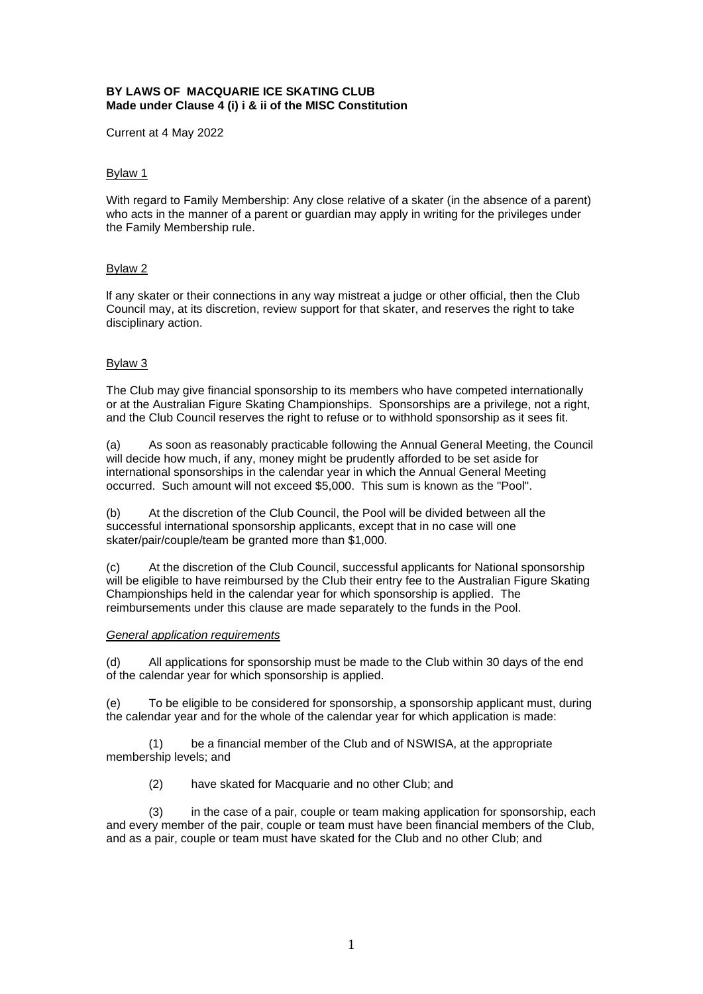## **BY LAWS OF MACQUARIE ICE SKATING CLUB Made under Clause 4 (i) i & ii of the MISC Constitution**

Current at 4 May 2022

### Bylaw 1

With regard to Family Membership: Any close relative of a skater (in the absence of a parent) who acts in the manner of a parent or guardian may apply in writing for the privileges under the Family Membership rule.

### Bylaw 2

lf any skater or their connections in any way mistreat a judge or other official, then the Club Council may, at its discretion, review support for that skater, and reserves the right to take disciplinary action.

# Bylaw 3

The Club may give financial sponsorship to its members who have competed internationally or at the Australian Figure Skating Championships. Sponsorships are a privilege, not a right, and the Club Council reserves the right to refuse or to withhold sponsorship as it sees fit.

(a) As soon as reasonably practicable following the Annual General Meeting, the Council will decide how much, if any, money might be prudently afforded to be set aside for international sponsorships in the calendar year in which the Annual General Meeting occurred. Such amount will not exceed \$5,000. This sum is known as the "Pool".

(b) At the discretion of the Club Council, the Pool will be divided between all the successful international sponsorship applicants, except that in no case will one skater/pair/couple/team be granted more than \$1,000.

(c) At the discretion of the Club Council, successful applicants for National sponsorship will be eligible to have reimbursed by the Club their entry fee to the Australian Figure Skating Championships held in the calendar year for which sponsorship is applied. The reimbursements under this clause are made separately to the funds in the Pool.

### *General application requirements*

(d) All applications for sponsorship must be made to the Club within 30 days of the end of the calendar year for which sponsorship is applied.

(e) To be eligible to be considered for sponsorship, a sponsorship applicant must, during the calendar year and for the whole of the calendar year for which application is made:

(1) be a financial member of the Club and of NSWISA, at the appropriate membership levels; and

(2) have skated for Macquarie and no other Club; and

(3) in the case of a pair, couple or team making application for sponsorship, each and every member of the pair, couple or team must have been financial members of the Club, and as a pair, couple or team must have skated for the Club and no other Club; and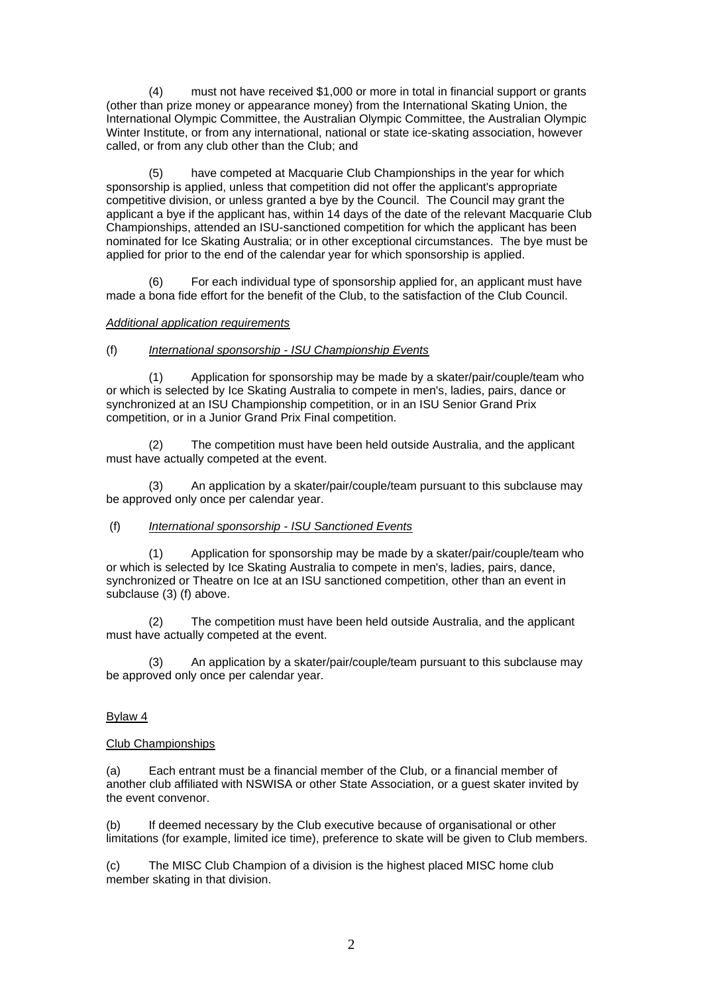(4) must not have received \$1,000 or more in total in financial support or grants (other than prize money or appearance money) from the International Skating Union, the International Olympic Committee, the Australian Olympic Committee, the Australian Olympic Winter Institute, or from any international, national or state ice-skating association, however called, or from any club other than the Club; and

(5) have competed at Macquarie Club Championships in the year for which sponsorship is applied, unless that competition did not offer the applicant's appropriate competitive division, or unless granted a bye by the Council. The Council may grant the applicant a bye if the applicant has, within 14 days of the date of the relevant Macquarie Club Championships, attended an ISU-sanctioned competition for which the applicant has been nominated for Ice Skating Australia; or in other exceptional circumstances. The bye must be applied for prior to the end of the calendar year for which sponsorship is applied.

For each individual type of sponsorship applied for, an applicant must have made a bona fide effort for the benefit of the Club, to the satisfaction of the Club Council.

### *Additional application requirements*

### (f) *International sponsorship - ISU Championship Events*

(1) Application for sponsorship may be made by a skater/pair/couple/team who or which is selected by Ice Skating Australia to compete in men's, ladies, pairs, dance or synchronized at an ISU Championship competition, or in an ISU Senior Grand Prix competition, or in a Junior Grand Prix Final competition.

(2) The competition must have been held outside Australia, and the applicant must have actually competed at the event.

(3) An application by a skater/pair/couple/team pursuant to this subclause may be approved only once per calendar year.

### (f) *International sponsorship - ISU Sanctioned Events*

(1) Application for sponsorship may be made by a skater/pair/couple/team who or which is selected by Ice Skating Australia to compete in men's, ladies, pairs, dance, synchronized or Theatre on Ice at an ISU sanctioned competition, other than an event in subclause (3) (f) above.

(2) The competition must have been held outside Australia, and the applicant must have actually competed at the event.

(3) An application by a skater/pair/couple/team pursuant to this subclause may be approved only once per calendar year.

### Bylaw 4

### Club Championships

(a) Each entrant must be a financial member of the Club, or a financial member of another club affiliated with NSWISA or other State Association, or a guest skater invited by the event convenor.

(b) If deemed necessary by the Club executive because of organisational or other limitations (for example, limited ice time), preference to skate will be given to Club members.

(c) The MISC Club Champion of a division is the highest placed MISC home club member skating in that division.